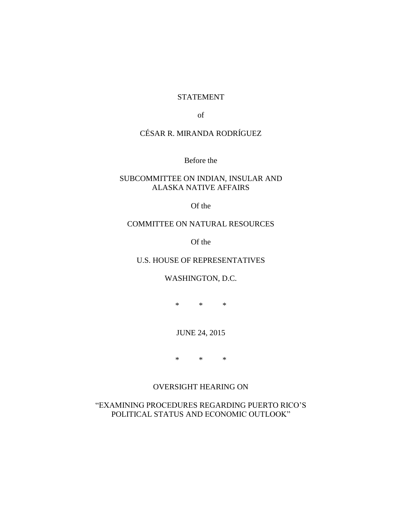### STATEMENT

of

# CÉSAR R. MIRANDA RODRÍGUEZ

Before the

# SUBCOMMITTEE ON INDIAN, INSULAR AND ALASKA NATIVE AFFAIRS

Of the

### COMMITTEE ON NATURAL RESOURCES

Of the

# U.S. HOUSE OF REPRESENTATIVES

### WASHINGTON, D.C.

\* \* \*

# JUNE 24, 2015

\* \* \*

# OVERSIGHT HEARING ON

"EXAMINING PROCEDURES REGARDING PUERTO RICO'S POLITICAL STATUS AND ECONOMIC OUTLOOK"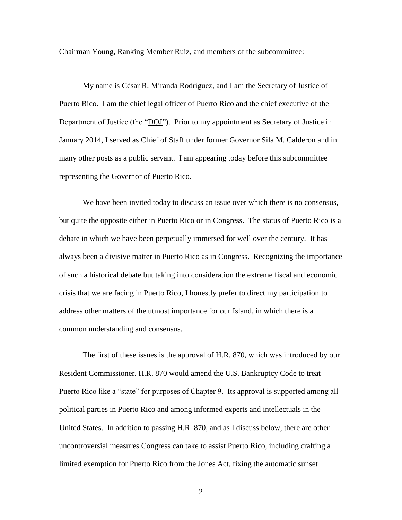Chairman Young, Ranking Member Ruiz, and members of the subcommittee:

My name is César R. Miranda Rodríguez, and I am the Secretary of Justice of Puerto Rico. I am the chief legal officer of Puerto Rico and the chief executive of the Department of Justice (the "DOJ"). Prior to my appointment as Secretary of Justice in January 2014, I served as Chief of Staff under former Governor Sila M. Calderon and in many other posts as a public servant. I am appearing today before this subcommittee representing the Governor of Puerto Rico.

We have been invited today to discuss an issue over which there is no consensus, but quite the opposite either in Puerto Rico or in Congress. The status of Puerto Rico is a debate in which we have been perpetually immersed for well over the century. It has always been a divisive matter in Puerto Rico as in Congress. Recognizing the importance of such a historical debate but taking into consideration the extreme fiscal and economic crisis that we are facing in Puerto Rico, I honestly prefer to direct my participation to address other matters of the utmost importance for our Island, in which there is a common understanding and consensus.

The first of these issues is the approval of H.R. 870, which was introduced by our Resident Commissioner. H.R. 870 would amend the U.S. Bankruptcy Code to treat Puerto Rico like a "state" for purposes of Chapter 9. Its approval is supported among all political parties in Puerto Rico and among informed experts and intellectuals in the United States. In addition to passing H.R. 870, and as I discuss below, there are other uncontroversial measures Congress can take to assist Puerto Rico, including crafting a limited exemption for Puerto Rico from the Jones Act, fixing the automatic sunset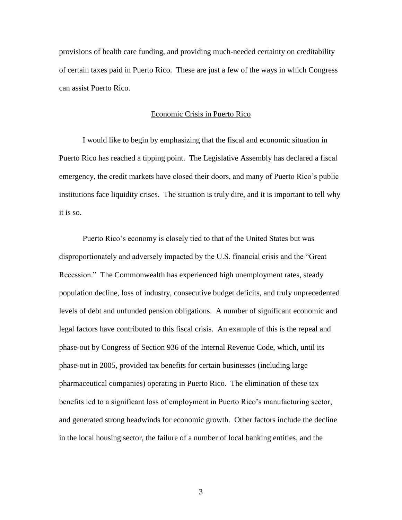provisions of health care funding, and providing much-needed certainty on creditability of certain taxes paid in Puerto Rico. These are just a few of the ways in which Congress can assist Puerto Rico.

#### Economic Crisis in Puerto Rico

I would like to begin by emphasizing that the fiscal and economic situation in Puerto Rico has reached a tipping point. The Legislative Assembly has declared a fiscal emergency, the credit markets have closed their doors, and many of Puerto Rico's public institutions face liquidity crises. The situation is truly dire, and it is important to tell why it is so.

Puerto Rico's economy is closely tied to that of the United States but was disproportionately and adversely impacted by the U.S. financial crisis and the "Great Recession." The Commonwealth has experienced high unemployment rates, steady population decline, loss of industry, consecutive budget deficits, and truly unprecedented levels of debt and unfunded pension obligations. A number of significant economic and legal factors have contributed to this fiscal crisis. An example of this is the repeal and phase-out by Congress of Section 936 of the Internal Revenue Code, which, until its phase-out in 2005, provided tax benefits for certain businesses (including large pharmaceutical companies) operating in Puerto Rico. The elimination of these tax benefits led to a significant loss of employment in Puerto Rico's manufacturing sector, and generated strong headwinds for economic growth. Other factors include the decline in the local housing sector, the failure of a number of local banking entities, and the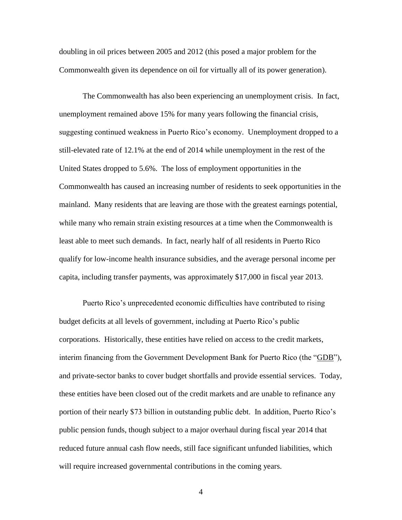doubling in oil prices between 2005 and 2012 (this posed a major problem for the Commonwealth given its dependence on oil for virtually all of its power generation).

The Commonwealth has also been experiencing an unemployment crisis. In fact, unemployment remained above 15% for many years following the financial crisis, suggesting continued weakness in Puerto Rico's economy. Unemployment dropped to a still-elevated rate of 12.1% at the end of 2014 while unemployment in the rest of the United States dropped to 5.6%. The loss of employment opportunities in the Commonwealth has caused an increasing number of residents to seek opportunities in the mainland. Many residents that are leaving are those with the greatest earnings potential, while many who remain strain existing resources at a time when the Commonwealth is least able to meet such demands. In fact, nearly half of all residents in Puerto Rico qualify for low-income health insurance subsidies, and the average personal income per capita, including transfer payments, was approximately \$17,000 in fiscal year 2013.

Puerto Rico's unprecedented economic difficulties have contributed to rising budget deficits at all levels of government, including at Puerto Rico's public corporations. Historically, these entities have relied on access to the credit markets, interim financing from the Government Development Bank for Puerto Rico (the "GDB"), and private-sector banks to cover budget shortfalls and provide essential services. Today, these entities have been closed out of the credit markets and are unable to refinance any portion of their nearly \$73 billion in outstanding public debt. In addition, Puerto Rico's public pension funds, though subject to a major overhaul during fiscal year 2014 that reduced future annual cash flow needs, still face significant unfunded liabilities, which will require increased governmental contributions in the coming years.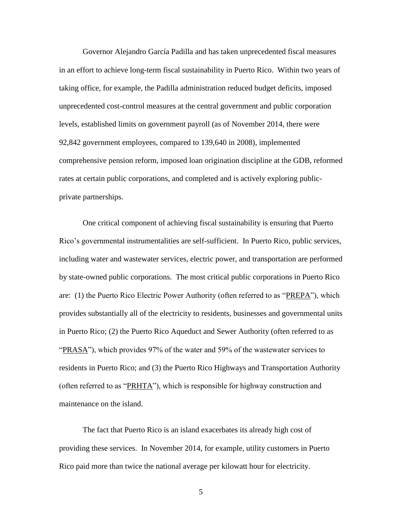Governor Alejandro García Padilla and has taken unprecedented fiscal measures in an effort to achieve long-term fiscal sustainability in Puerto Rico. Within two years of taking office, for example, the Padilla administration reduced budget deficits, imposed unprecedented cost-control measures at the central government and public corporation levels, established limits on government payroll (as of November 2014, there were 92,842 government employees, compared to 139,640 in 2008), implemented comprehensive pension reform, imposed loan origination discipline at the GDB, reformed rates at certain public corporations, and completed and is actively exploring publicprivate partnerships.

One critical component of achieving fiscal sustainability is ensuring that Puerto Rico's governmental instrumentalities are self-sufficient. In Puerto Rico, public services, including water and wastewater services, electric power, and transportation are performed by state-owned public corporations. The most critical public corporations in Puerto Rico are: (1) the Puerto Rico Electric Power Authority (often referred to as "PREPA"), which provides substantially all of the electricity to residents, businesses and governmental units in Puerto Rico; (2) the Puerto Rico Aqueduct and Sewer Authority (often referred to as "PRASA"), which provides 97% of the water and 59% of the wastewater services to residents in Puerto Rico; and (3) the Puerto Rico Highways and Transportation Authority (often referred to as "PRHTA"), which is responsible for highway construction and maintenance on the island.

The fact that Puerto Rico is an island exacerbates its already high cost of providing these services. In November 2014, for example, utility customers in Puerto Rico paid more than twice the national average per kilowatt hour for electricity.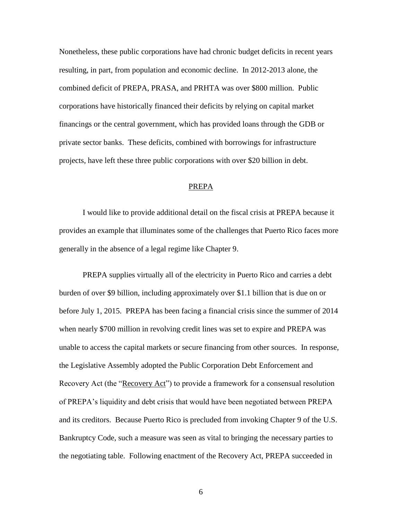Nonetheless, these public corporations have had chronic budget deficits in recent years resulting, in part, from population and economic decline. In 2012-2013 alone, the combined deficit of PREPA, PRASA, and PRHTA was over \$800 million. Public corporations have historically financed their deficits by relying on capital market financings or the central government, which has provided loans through the GDB or private sector banks. These deficits, combined with borrowings for infrastructure projects, have left these three public corporations with over \$20 billion in debt.

#### PREPA

I would like to provide additional detail on the fiscal crisis at PREPA because it provides an example that illuminates some of the challenges that Puerto Rico faces more generally in the absence of a legal regime like Chapter 9.

PREPA supplies virtually all of the electricity in Puerto Rico and carries a debt burden of over \$9 billion, including approximately over \$1.1 billion that is due on or before July 1, 2015. PREPA has been facing a financial crisis since the summer of 2014 when nearly \$700 million in revolving credit lines was set to expire and PREPA was unable to access the capital markets or secure financing from other sources. In response, the Legislative Assembly adopted the Public Corporation Debt Enforcement and Recovery Act (the "Recovery Act") to provide a framework for a consensual resolution of PREPA's liquidity and debt crisis that would have been negotiated between PREPA and its creditors. Because Puerto Rico is precluded from invoking Chapter 9 of the U.S. Bankruptcy Code, such a measure was seen as vital to bringing the necessary parties to the negotiating table. Following enactment of the Recovery Act, PREPA succeeded in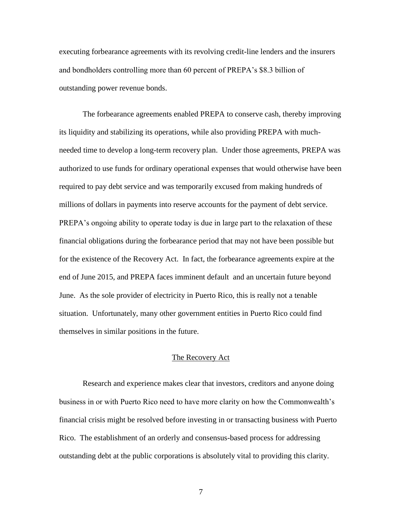executing forbearance agreements with its revolving credit-line lenders and the insurers and bondholders controlling more than 60 percent of PREPA's \$8.3 billion of outstanding power revenue bonds.

The forbearance agreements enabled PREPA to conserve cash, thereby improving its liquidity and stabilizing its operations, while also providing PREPA with muchneeded time to develop a long-term recovery plan. Under those agreements, PREPA was authorized to use funds for ordinary operational expenses that would otherwise have been required to pay debt service and was temporarily excused from making hundreds of millions of dollars in payments into reserve accounts for the payment of debt service. PREPA's ongoing ability to operate today is due in large part to the relaxation of these financial obligations during the forbearance period that may not have been possible but for the existence of the Recovery Act. In fact, the forbearance agreements expire at the end of June 2015, and PREPA faces imminent default and an uncertain future beyond June. As the sole provider of electricity in Puerto Rico, this is really not a tenable situation. Unfortunately, many other government entities in Puerto Rico could find themselves in similar positions in the future.

#### The Recovery Act

Research and experience makes clear that investors, creditors and anyone doing business in or with Puerto Rico need to have more clarity on how the Commonwealth's financial crisis might be resolved before investing in or transacting business with Puerto Rico. The establishment of an orderly and consensus-based process for addressing outstanding debt at the public corporations is absolutely vital to providing this clarity.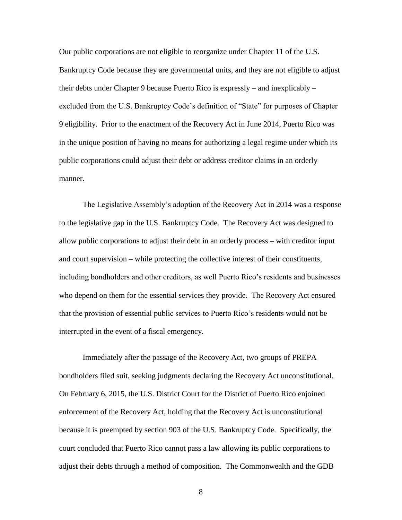Our public corporations are not eligible to reorganize under Chapter 11 of the U.S. Bankruptcy Code because they are governmental units, and they are not eligible to adjust their debts under Chapter 9 because Puerto Rico is expressly – and inexplicably – excluded from the U.S. Bankruptcy Code's definition of "State" for purposes of Chapter 9 eligibility. Prior to the enactment of the Recovery Act in June 2014, Puerto Rico was in the unique position of having no means for authorizing a legal regime under which its public corporations could adjust their debt or address creditor claims in an orderly manner.

The Legislative Assembly's adoption of the Recovery Act in 2014 was a response to the legislative gap in the U.S. Bankruptcy Code. The Recovery Act was designed to allow public corporations to adjust their debt in an orderly process – with creditor input and court supervision – while protecting the collective interest of their constituents, including bondholders and other creditors, as well Puerto Rico's residents and businesses who depend on them for the essential services they provide. The Recovery Act ensured that the provision of essential public services to Puerto Rico's residents would not be interrupted in the event of a fiscal emergency.

Immediately after the passage of the Recovery Act, two groups of PREPA bondholders filed suit, seeking judgments declaring the Recovery Act unconstitutional. On February 6, 2015, the U.S. District Court for the District of Puerto Rico enjoined enforcement of the Recovery Act, holding that the Recovery Act is unconstitutional because it is preempted by section 903 of the U.S. Bankruptcy Code. Specifically, the court concluded that Puerto Rico cannot pass a law allowing its public corporations to adjust their debts through a method of composition. The Commonwealth and the GDB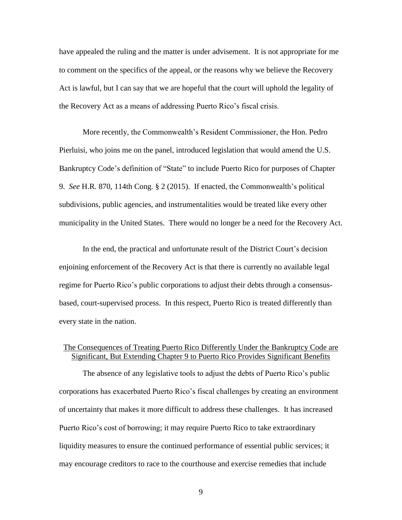have appealed the ruling and the matter is under advisement. It is not appropriate for me to comment on the specifics of the appeal, or the reasons why we believe the Recovery Act is lawful, but I can say that we are hopeful that the court will uphold the legality of the Recovery Act as a means of addressing Puerto Rico's fiscal crisis.

More recently, the Commonwealth's Resident Commissioner, the Hon. Pedro Pierluisi, who joins me on the panel, introduced legislation that would amend the U.S. Bankruptcy Code's definition of "State" to include Puerto Rico for purposes of Chapter 9. *See* H.R. 870, 114th Cong. § 2 (2015). If enacted, the Commonwealth's political subdivisions, public agencies, and instrumentalities would be treated like every other municipality in the United States. There would no longer be a need for the Recovery Act.

In the end, the practical and unfortunate result of the District Court's decision enjoining enforcement of the Recovery Act is that there is currently no available legal regime for Puerto Rico's public corporations to adjust their debts through a consensusbased, court-supervised process. In this respect, Puerto Rico is treated differently than every state in the nation.

# The Consequences of Treating Puerto Rico Differently Under the Bankruptcy Code are Significant, But Extending Chapter 9 to Puerto Rico Provides Significant Benefits

The absence of any legislative tools to adjust the debts of Puerto Rico's public corporations has exacerbated Puerto Rico's fiscal challenges by creating an environment of uncertainty that makes it more difficult to address these challenges. It has increased Puerto Rico's cost of borrowing; it may require Puerto Rico to take extraordinary liquidity measures to ensure the continued performance of essential public services; it may encourage creditors to race to the courthouse and exercise remedies that include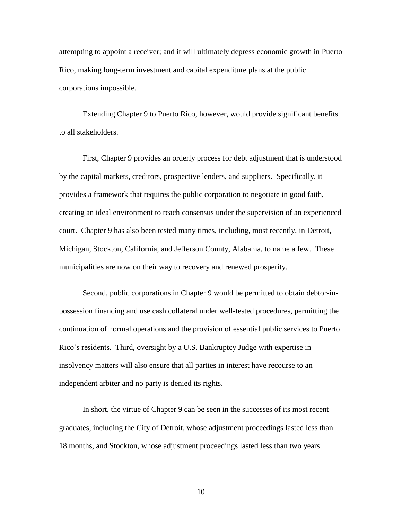attempting to appoint a receiver; and it will ultimately depress economic growth in Puerto Rico, making long-term investment and capital expenditure plans at the public corporations impossible.

Extending Chapter 9 to Puerto Rico, however, would provide significant benefits to all stakeholders.

First, Chapter 9 provides an orderly process for debt adjustment that is understood by the capital markets, creditors, prospective lenders, and suppliers. Specifically, it provides a framework that requires the public corporation to negotiate in good faith, creating an ideal environment to reach consensus under the supervision of an experienced court. Chapter 9 has also been tested many times, including, most recently, in Detroit, Michigan, Stockton, California, and Jefferson County, Alabama, to name a few. These municipalities are now on their way to recovery and renewed prosperity.

Second, public corporations in Chapter 9 would be permitted to obtain debtor-inpossession financing and use cash collateral under well-tested procedures, permitting the continuation of normal operations and the provision of essential public services to Puerto Rico's residents. Third, oversight by a U.S. Bankruptcy Judge with expertise in insolvency matters will also ensure that all parties in interest have recourse to an independent arbiter and no party is denied its rights.

In short, the virtue of Chapter 9 can be seen in the successes of its most recent graduates, including the City of Detroit, whose adjustment proceedings lasted less than 18 months, and Stockton, whose adjustment proceedings lasted less than two years.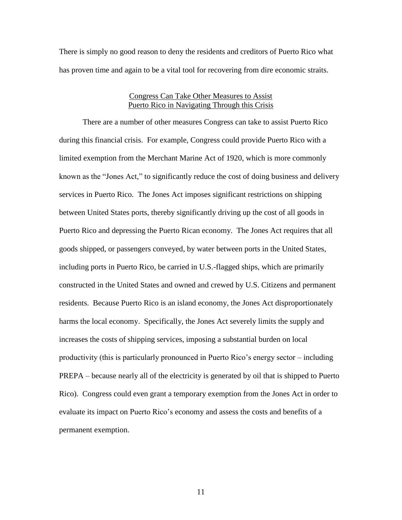There is simply no good reason to deny the residents and creditors of Puerto Rico what has proven time and again to be a vital tool for recovering from dire economic straits.

#### Congress Can Take Other Measures to Assist Puerto Rico in Navigating Through this Crisis

There are a number of other measures Congress can take to assist Puerto Rico during this financial crisis. For example, Congress could provide Puerto Rico with a limited exemption from the Merchant Marine Act of 1920, which is more commonly known as the "Jones Act," to significantly reduce the cost of doing business and delivery services in Puerto Rico. The Jones Act imposes significant restrictions on shipping between United States ports, thereby significantly driving up the cost of all goods in Puerto Rico and depressing the Puerto Rican economy. The Jones Act requires that all goods shipped, or passengers conveyed, by water between ports in the United States, including ports in Puerto Rico, be carried in U.S.-flagged ships, which are primarily constructed in the United States and owned and crewed by U.S. Citizens and permanent residents. Because Puerto Rico is an island economy, the Jones Act disproportionately harms the local economy. Specifically, the Jones Act severely limits the supply and increases the costs of shipping services, imposing a substantial burden on local productivity (this is particularly pronounced in Puerto Rico's energy sector – including PREPA – because nearly all of the electricity is generated by oil that is shipped to Puerto Rico). Congress could even grant a temporary exemption from the Jones Act in order to evaluate its impact on Puerto Rico's economy and assess the costs and benefits of a permanent exemption.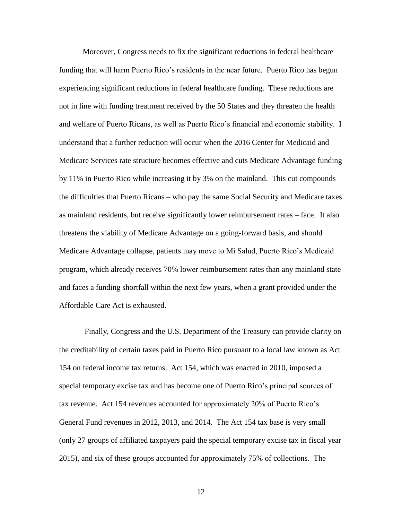Moreover, Congress needs to fix the significant reductions in federal healthcare funding that will harm Puerto Rico's residents in the near future. Puerto Rico has begun experiencing significant reductions in federal healthcare funding. These reductions are not in line with funding treatment received by the 50 States and they threaten the health and welfare of Puerto Ricans, as well as Puerto Rico's financial and economic stability. I understand that a further reduction will occur when the 2016 Center for Medicaid and Medicare Services rate structure becomes effective and cuts Medicare Advantage funding by 11% in Puerto Rico while increasing it by 3% on the mainland. This cut compounds the difficulties that Puerto Ricans – who pay the same Social Security and Medicare taxes as mainland residents, but receive significantly lower reimbursement rates – face. It also threatens the viability of Medicare Advantage on a going-forward basis, and should Medicare Advantage collapse, patients may move to Mi Salud, Puerto Rico's Medicaid program, which already receives 70% lower reimbursement rates than any mainland state and faces a funding shortfall within the next few years, when a grant provided under the Affordable Care Act is exhausted.

Finally, Congress and the U.S. Department of the Treasury can provide clarity on the creditability of certain taxes paid in Puerto Rico pursuant to a local law known as Act 154 on federal income tax returns. Act 154, which was enacted in 2010, imposed a special temporary excise tax and has become one of Puerto Rico's principal sources of tax revenue. Act 154 revenues accounted for approximately 20% of Puerto Rico's General Fund revenues in 2012, 2013, and 2014. The Act 154 tax base is very small (only 27 groups of affiliated taxpayers paid the special temporary excise tax in fiscal year 2015), and six of these groups accounted for approximately 75% of collections. The